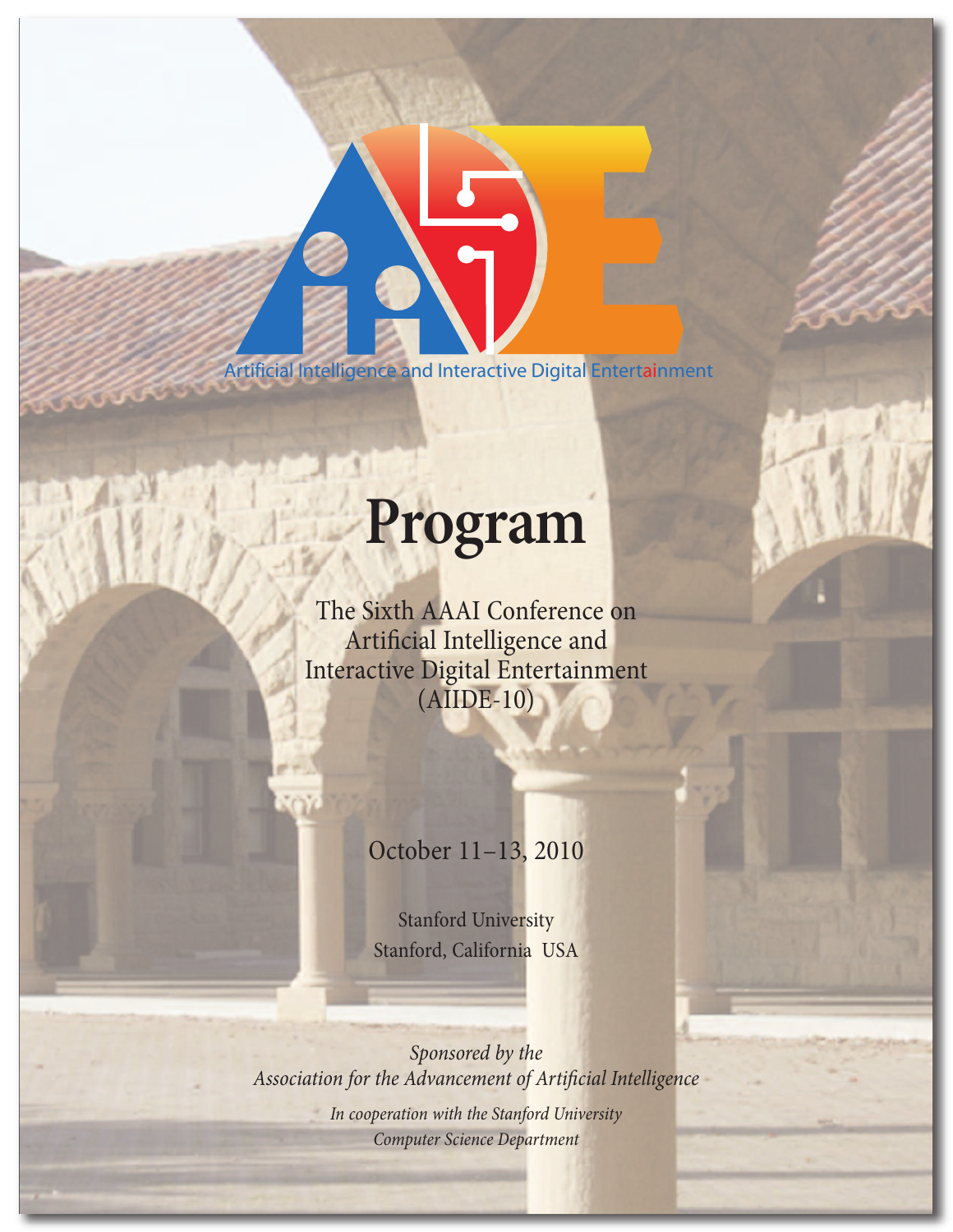*Artificial Intelligence and Interactive Digital Entertainment*

# **Program**

The Sixth AAAI Conference on Artificial Intelligence and Interactive Digital Entertainment (AIIDE-10)

October 11–13, 2010

Stanford University Stanford, California USA

Sponsored by the Association for the Advancement of Artificial Intelligence In cooperation with the Stanford University Computer Science Department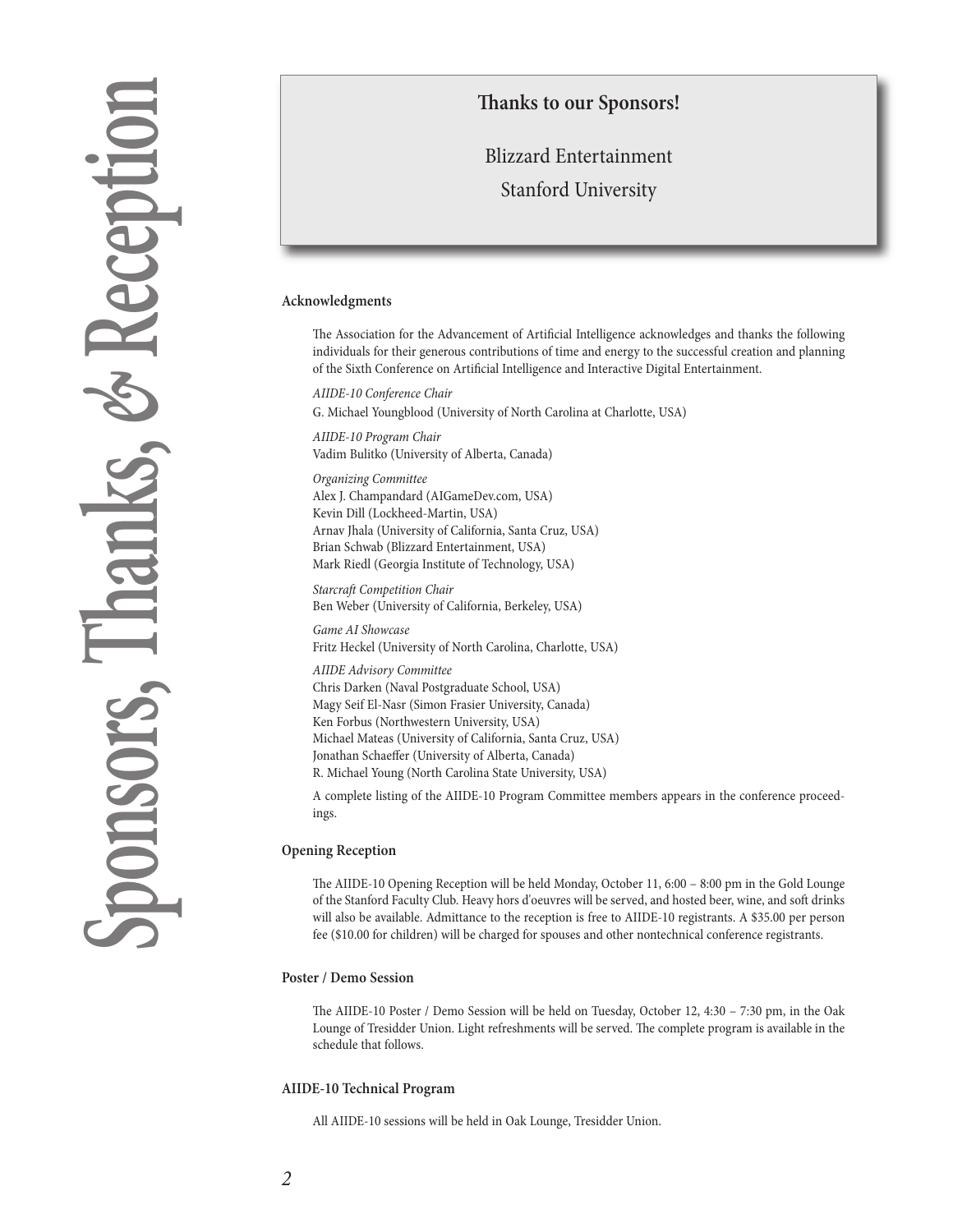# **Sp o n s o r s , T h an ks ,** *&* **Re c e p t i o n**

## **anks to our Sponsors!**

# Blizzard Entertainment Stanford University

#### **Acknowledgments**

The Association for the Advancement of Artificial Intelligence acknowledges and thanks the following individuals for their generous contributions of time and energy to the successful creation and planning of the Sixth Conference on Artificial Intelligence and Interactive Digital Entertainment.

AIIDE-10 Conference Chair G. Michael Youngblood (University of North Carolina at Charlotte, USA)

AIIDE-10 Program Chair Vadim Bulitko (University of Alberta, Canada)

Organizing Committee Alex J. Champandard (AIGameDev.com, USA) Kevin Dill (Lockheed-Martin, USA) Arnav Jhala (University of California, Santa Cruz, USA) Brian Schwab (Blizzard Entertainment, USA) Mark Riedl (Georgia Institute of Technology, USA)

Starcraft Competition Chair Ben Weber (University of California, Berkeley, USA)

Game AI Showcase Fritz Heckel (University of North Carolina, Charlotte, USA)

AIIDE Advisory Committee Chris Darken (Naval Postgraduate School, USA) Magy Seif El-Nasr (Simon Frasier University, Canada) Ken Forbus (Northwestern University, USA) Michael Mateas (University of California, Santa Cruz, USA) Jonathan Schaeffer (University of Alberta, Canada) R. Michael Young (North Carolina State University, USA)

A complete listing of the AIIDE-10 Program Committee members appears in the conference proceedings.

#### **Opening Reception**

e AIIDE-10 Opening Reception will be held Monday, October 11, 6:00 – 8:00 pm in the Gold Lounge of the Stanford Faculty Club. Heavy hors d'oeuvres will be served, and hosted beer, wine, and soft drinks will also be available. Admittance to the reception is free to AIIDE-10 registrants. A \$35.00 per person fee (\$10.00 for children) will be charged for spouses and other nontechnical conference registrants.

#### **Poster / Demo Session**

e AIIDE-10 Poster / Demo Session will be held on Tuesday, October 12, 4:30 – 7:30 pm, in the Oak Lounge of Tresidder Union. Light refreshments will be served. The complete program is available in the schedule that follows.

#### **AIIDE-10 Technical Program**

All AIIDE-10 sessions will be held in Oak Lounge, Tresidder Union.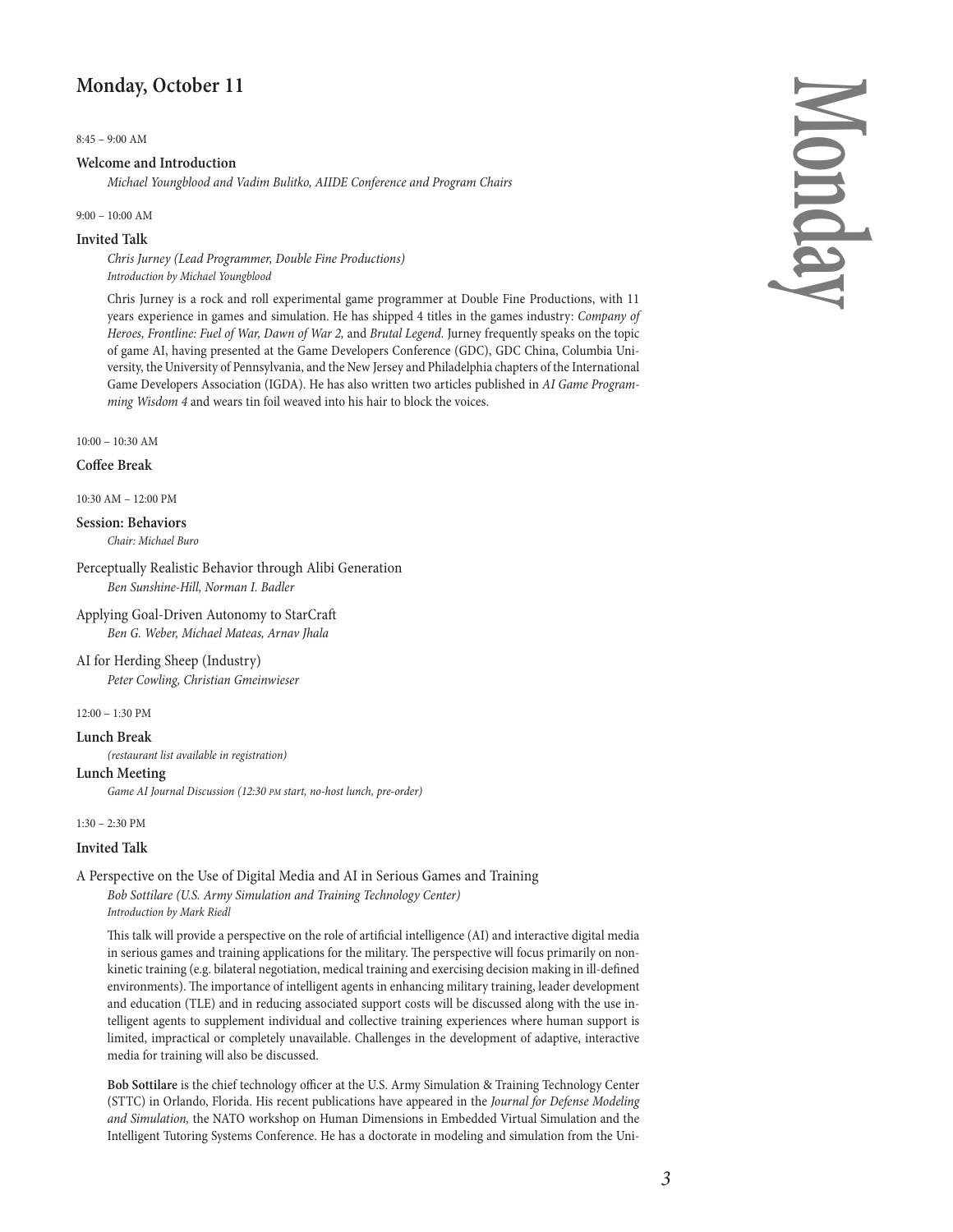## **Monday, October 11**

8:45 – 9:00 AM

#### **Welcome and Introduction**

Michael Youngblood and Vadim Bulitko, AIIDE Conference and Program Chairs

9:00 – 10:00 AM

#### **Invited Talk**

Chris Jurney (Lead Programmer, Double Fine Productions) Introduction by Michael Youngblood

Chris Jurney is a rock and roll experimental game programmer at Double Fine Productions, with 11 years experience in games and simulation. He has shipped 4 titles in the games industry: Company of Heroes, Frontline: Fuel of War, Dawn of War 2, and Brutal Legend. Jurney frequently speaks on the topic of game AI, having presented at the Game Developers Conference (GDC), GDC China, Columbia University, the University of Pennsylvania, and the New Jersey and Philadelphia chapters of the International Game Developers Association (IGDA). He has also written two articles published in AI Game Programming Wisdom 4 and wears tin foil weaved into his hair to block the voices.

10:00 – 10:30 AM

#### **Coffee Break**

10:30 AM – 12:00 PM

#### **Session: Behaviors**

Chair: Michael Buro

Perceptually Realistic Behavior through Alibi Generation Ben Sunshine-Hill, Norman I. Badler

- Applying Goal-Driven Autonomy to StarCra Ben G. Weber, Michael Mateas, Arnav Jhala
- AI for Herding Sheep (Industry)

Peter Cowling, Christian Gmeinwieser

 $12:00 - 1:30$  PM

#### **Lunch Break**

(restaurant list available in registration)

#### **Lunch Meeting**

Game AI Journal Discussion (12:30 PM start, no-host lunch, pre-order)

1:30 – 2:30 PM

#### **Invited Talk**

A Perspective on the Use of Digital Media and AI in Serious Games and Training

Bob Sottilare (U.S. Army Simulation and Training Technology Center) Introduction by Mark Riedl

This talk will provide a perspective on the role of artificial intelligence (AI) and interactive digital media in serious games and training applications for the military. The perspective will focus primarily on nonkinetic training (e.g. bilateral negotiation, medical training and exercising decision making in ill-defined environments). The importance of intelligent agents in enhancing military training, leader development and education (TLE) and in reducing associated support costs will be discussed along with the use intelligent agents to supplement individual and collective training experiences where human support is limited, impractical or completely unavailable. Challenges in the development of adaptive, interactive media for training will also be discussed.

**Bob Sottilare** is the chief technology officer at the U.S. Army Simulation & Training Technology Center (STTC) in Orlando, Florida. His recent publications have appeared in the Journal for Defense Modeling and Simulation, the NATO workshop on Human Dimensions in Embedded Virtual Simulation and the Intelligent Tutoring Systems Conference. He has a doctorate in modeling and simulation from the Uni-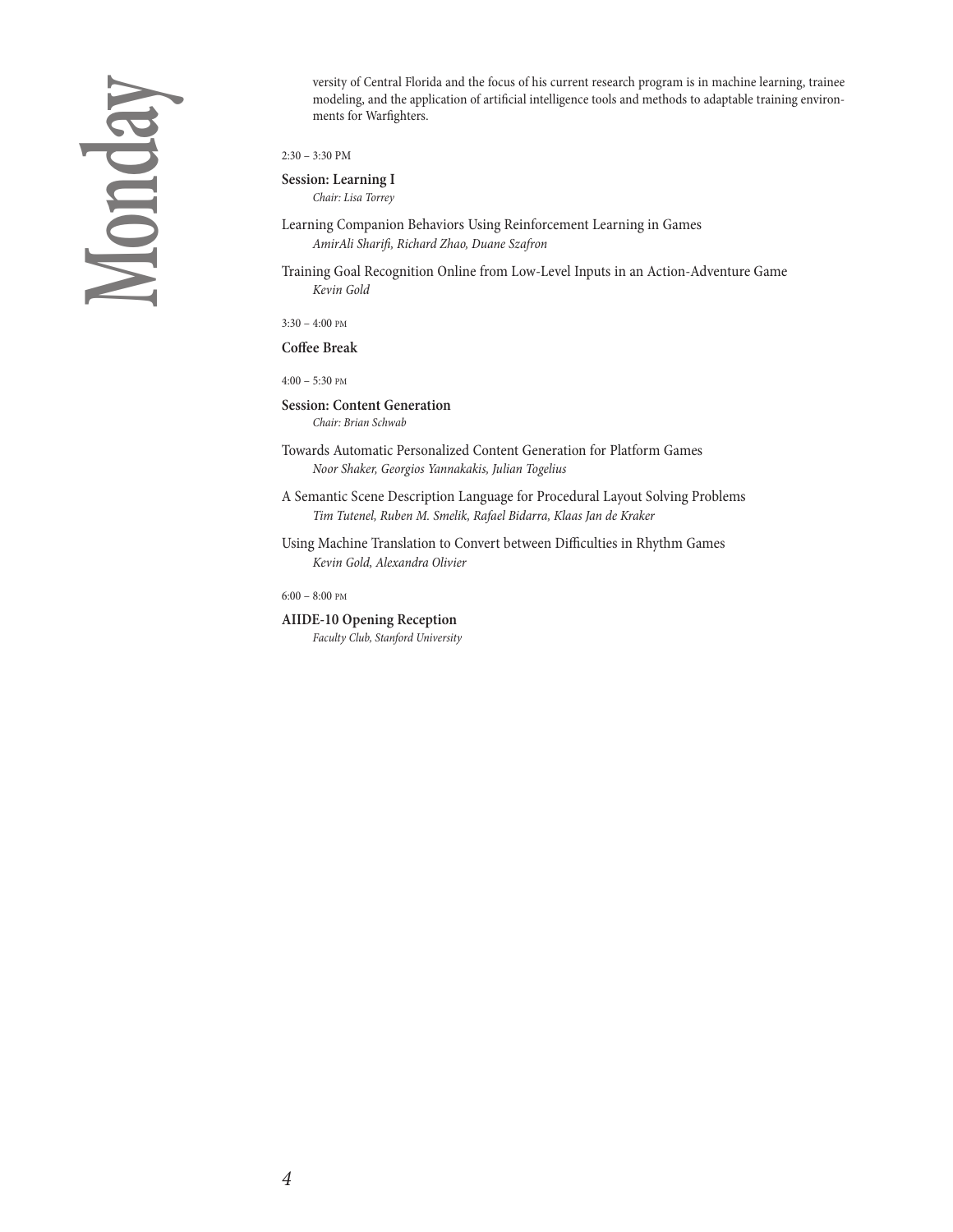versity of Central Florida and the focus of his current research program is in machine learning, trainee modeling, and the application of artificial intelligence tools and methods to adaptable training environments for Warfighters.

2:30 – 3:30 PM

**Session: Learning I**

Chair: Lisa Torrey

Learning Companion Behaviors Using Reinforcement Learning in Games AmirAli Sharifi, Richard Zhao, Duane Szafron

Training Goal Recognition Online from Low-Level Inputs in an Action-Adventure Game Kevin Gold

3:30 – 4:00 PM

**Coffee Break**

4:00 – 5:30 PM

**Session: Content Generation** Chair: Brian Schwab

Towards Automatic Personalized Content Generation for Platform Games Noor Shaker, Georgios Yannakakis, Julian Togelius

A Semantic Scene Description Language for Procedural Layout Solving Problems Tim Tutenel, Ruben M. Smelik, Rafael Bidarra, Klaas Jan de Kraker

Using Machine Translation to Convert between Difficulties in Rhythm Games Kevin Gold, Alexandra Olivier

6:00 – 8:00 PM

**AIIDE-10 Opening Reception**

Faculty Club, Stanford University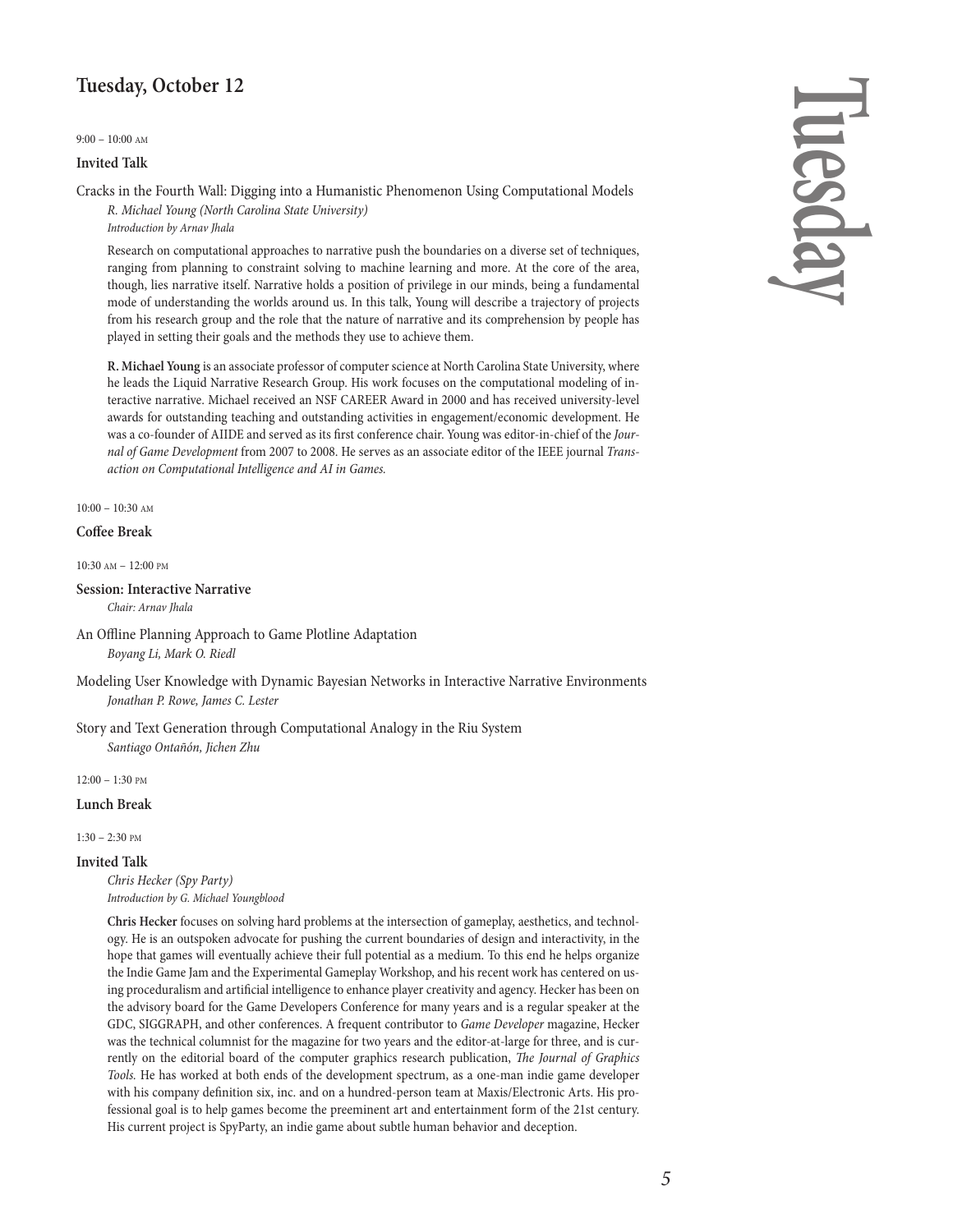## **Tuesday, October 12**

9:00 – 10:00 AM

#### **Invited Talk**

Cracks in the Fourth Wall: Digging into a Humanistic Phenomenon Using Computational Models

R. Michael Young (North Carolina State University) Introduction by Arnav Jhala

Research on computational approaches to narrative push the boundaries on a diverse set of techniques, ranging from planning to constraint solving to machine learning and more. At the core of the area, though, lies narrative itself. Narrative holds a position of privilege in our minds, being a fundamental mode of understanding the worlds around us. In this talk, Young will describe a trajectory of projects from his research group and the role that the nature of narrative and its comprehension by people has played in setting their goals and the methods they use to achieve them.

**R.** Michael Young is an associate professor of computer science at North Carolina State University, where he leads the Liquid Narrative Research Group. His work focuses on the computational modeling of interactive narrative. Michael received an NSF CAREER Award in 2000 and has received university-level awards for outstanding teaching and outstanding activities in engagement/economic development. He was a co-founder of AIIDE and served as its first conference chair. Young was editor-in-chief of the Journal of Game Development from 2007 to 2008. He serves as an associate editor of the IEEE journal Transaction on Computational Intelligence and AI in Games.

#### 10:00 – 10:30 AM

#### **Coffee Break**

10:30 AM – 12:00 PM

### **Session: Interactive Narrative**

Chair: Arnav Jhala

- An Offline Planning Approach to Game Plotline Adaptation Boyang Li, Mark O. Riedl
- Modeling User Knowledge with Dynamic Bayesian Networks in Interactive Narrative Environments Jonathan P. Rowe, James C. Lester

Story and Text Generation through Computational Analogy in the Riu System Santiago Ontañón, Jichen Zhu

12:00 – 1:30 PM

#### **Lunch Break**

1:30 – 2:30 PM

#### **Invited Talk**

Chris Hecker (Spy Party) Introduction by G. Michael Youngblood

**Chris Hecker** focuses on solving hard problems at the intersection of gameplay, aesthetics, and technology. He is an outspoken advocate for pushing the current boundaries of design and interactivity, in the hope that games will eventually achieve their full potential as a medium. To this end he helps organize the Indie Game Jam and the Experimental Gameplay Workshop, and his recent work has centered on using proceduralism and artificial intelligence to enhance player creativity and agency. Hecker has been on the advisory board for the Game Developers Conference for many years and is a regular speaker at the GDC, SIGGRAPH, and other conferences. A frequent contributor to Game Developer magazine, Hecker was the technical columnist for the magazine for two years and the editor-at-large for three, and is currently on the editorial board of the computer graphics research publication, The Journal of Graphics Tools. He has worked at both ends of the development spectrum, as a one-man indie game developer with his company definition six, inc. and on a hundred-person team at Maxis/Electronic Arts. His professional goal is to help games become the preeminent art and entertainment form of the 21st century. His current project is SpyParty, an indie game about subtle human behavior and deception.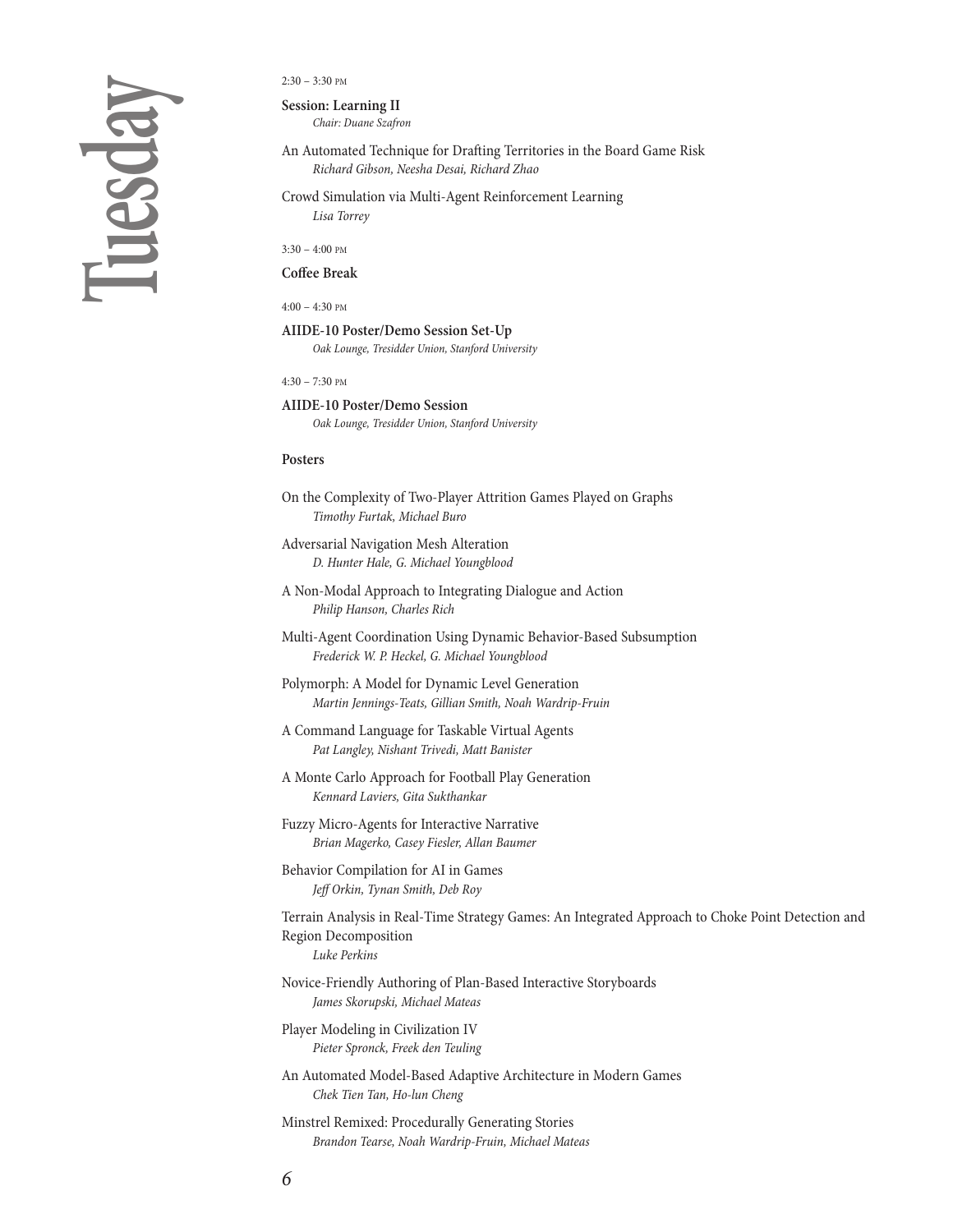# **Tu e s d ay**

#### $2:30 - 3:30$  PM

**Session: Learning II**

Chair: Duane Szafron

- An Automated Technique for Drafting Territories in the Board Game Risk Richard Gibson, Neesha Desai, Richard Zhao
- Crowd Simulation via Multi-Agent Reinforcement Learning Lisa Torrey

3:30 – 4:00 PM

**Coffee Break**

 $4:00 - 4:30$  PM

**AIIDE-10 Poster/Demo Session Set-Up** Oak Lounge, Tresidder Union, Stanford University

 $4:30 - 7:30$  PM

#### **AIIDE-10 Poster/Demo Session**

Oak Lounge, Tresidder Union, Stanford University

#### **Posters**

- On the Complexity of Two-Player Attrition Games Played on Graphs Timothy Furtak, Michael Buro
- Adversarial Navigation Mesh Alteration D. Hunter Hale, G. Michael Youngblood
- A Non-Modal Approach to Integrating Dialogue and Action Philip Hanson, Charles Rich
- Multi-Agent Coordination Using Dynamic Behavior-Based Subsumption Frederick W. P. Heckel, G. Michael Youngblood
- Polymorph: A Model for Dynamic Level Generation Martin Jennings-Teats, Gillian Smith, Noah Wardrip-Fruin
- A Command Language for Taskable Virtual Agents Pat Langley, Nishant Trivedi, Matt Banister
- A Monte Carlo Approach for Football Play Generation Kennard Laviers, Gita Sukthankar
- Fuzzy Micro-Agents for Interactive Narrative Brian Magerko, Casey Fiesler, Allan Baumer
- Behavior Compilation for AI in Games Jeff Orkin, Tynan Smith, Deb Roy

Terrain Analysis in Real-Time Strategy Games: An Integrated Approach to Choke Point Detection and Region Decomposition Luke Perkins

- Novice-Friendly Authoring of Plan-Based Interactive Storyboards James Skorupski, Michael Mateas
- Player Modeling in Civilization IV Pieter Spronck, Freek den Teuling
- An Automated Model-Based Adaptive Architecture in Modern Games Chek Tien Tan, Ho-lun Cheng
- Minstrel Remixed: Procedurally Generating Stories Brandon Tearse, Noah Wardrip-Fruin, Michael Mateas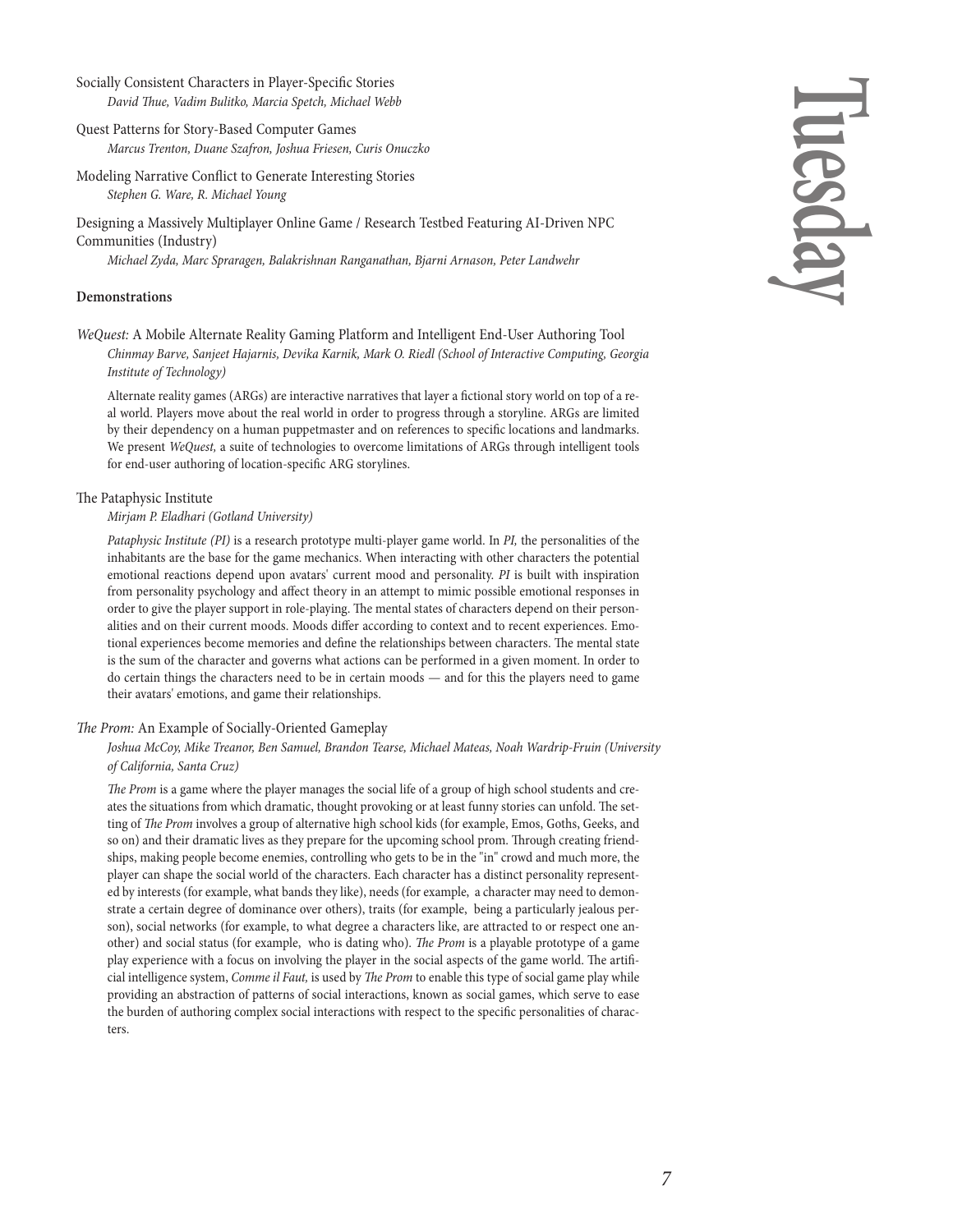#### Socially Consistent Characters in Player-Specific Stories David Thue, Vadim Bulitko, Marcia Spetch, Michael Webb

- Quest Patterns for Story-Based Computer Games Marcus Trenton, Duane Szafron, Joshua Friesen, Curis Onuczko
- Modeling Narrative Conflict to Generate Interesting Stories Stephen G. Ware, R. Michael Young

Designing a Massively Multiplayer Online Game / Research Testbed Featuring AI-Driven NPC Communities (Industry)

Michael Zyda, Marc Spraragen, Balakrishnan Ranganathan, Bjarni Arnason, Peter Landwehr

#### **Demonstrations**

WeQuest: A Mobile Alternate Reality Gaming Platform and Intelligent End-User Authoring Tool Chinmay Barve, Sanjeet Hajarnis, Devika Karnik, Mark O. Riedl (School of Interactive Computing, Georgia Institute of Technology)

Alternate reality games (ARGs) are interactive narratives that layer a fictional story world on top of a real world. Players move about the real world in order to progress through a storyline. ARGs are limited by their dependency on a human puppetmaster and on references to specific locations and landmarks. We present WeQuest, a suite of technologies to overcome limitations of ARGs through intelligent tools for end-user authoring of location-specific ARG storylines.

#### The Pataphysic Institute

#### Mirjam P. Eladhari (Gotland University)

Pataphysic Institute (PI) is a research prototype multi-player game world. In PI, the personalities of the inhabitants are the base for the game mechanics. When interacting with other characters the potential emotional reactions depend upon avatars' current mood and personality. PI is built with inspiration from personality psychology and affect theory in an attempt to mimic possible emotional responses in order to give the player support in role-playing. The mental states of characters depend on their personalities and on their current moods. Moods differ according to context and to recent experiences. Emotional experiences become memories and define the relationships between characters. The mental state is the sum of the character and governs what actions can be performed in a given moment. In order to do certain things the characters need to be in certain moods — and for this the players need to game their avatars' emotions, and game their relationships.

#### The Prom: An Example of Socially-Oriented Gameplay

#### Joshua McCoy, Mike Treanor, Ben Samuel, Brandon Tearse, Michael Mateas, Noah Wardrip-Fruin (University of California, Santa Cruz)

The Prom is a game where the player manages the social life of a group of high school students and creates the situations from which dramatic, thought provoking or at least funny stories can unfold. The setting of The Prom involves a group of alternative high school kids (for example, Emos, Goths, Geeks, and so on) and their dramatic lives as they prepare for the upcoming school prom. Through creating friendships, making people become enemies, controlling who gets to be in the "in" crowd and much more, the player can shape the social world of the characters. Each character has a distinct personality represented by interests (for example, what bands they like), needs (for example, a character may need to demonstrate a certain degree of dominance over others), traits (for example, being a particularly jealous person), social networks (for example, to what degree a characters like, are attracted to or respect one another) and social status (for example, who is dating who). The Prom is a playable prototype of a game play experience with a focus on involving the player in the social aspects of the game world. The artificial intelligence system, Comme il Faut, is used by The Prom to enable this type of social game play while providing an abstraction of patterns of social interactions, known as social games, which serve to ease the burden of authoring complex social interactions with respect to the specific personalities of characters.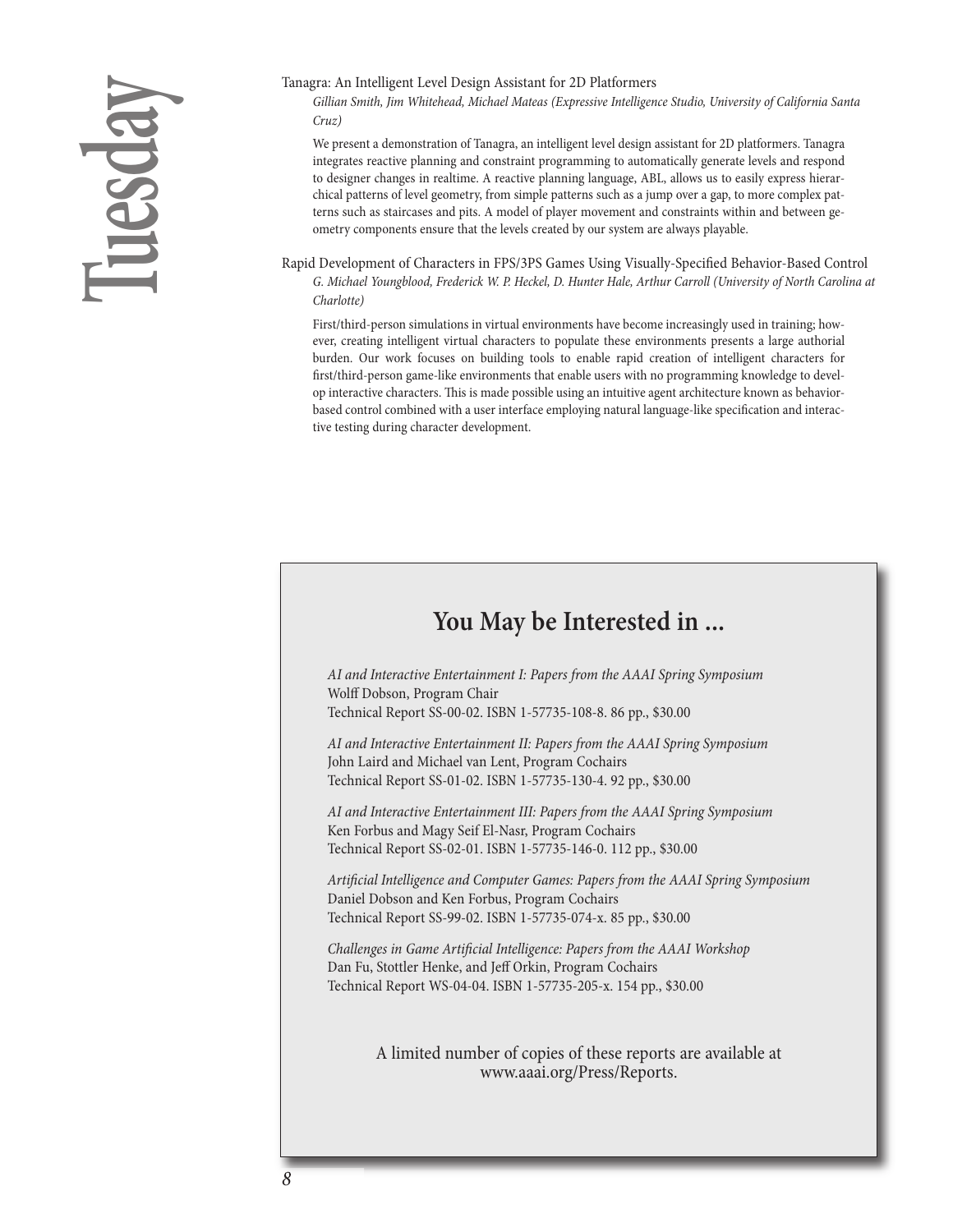# **Tu e s d ay**

#### Tanagra: An Intelligent Level Design Assistant for 2D Platformers

Gillian Smith, Jim Whitehead, Michael Mateas (Expressive Intelligence Studio, University of California Santa Cruz)

We present a demonstration of Tanagra, an intelligent level design assistant for 2D platformers. Tanagra integrates reactive planning and constraint programming to automatically generate levels and respond to designer changes in realtime. A reactive planning language, ABL, allows us to easily express hierarchical patterns of level geometry, from simple patterns such as a jump over a gap, to more complex patterns such as staircases and pits. A model of player movement and constraints within and between geometry components ensure that the levels created by our system are always playable.

Rapid Development of Characters in FPS/3PS Games Using Visually-Specified Behavior-Based Control G. Michael Youngblood, Frederick W. P. Heckel, D. Hunter Hale, Arthur Carroll (University of North Carolina at Charlotte)

First/third-person simulations in virtual environments have become increasingly used in training; however, creating intelligent virtual characters to populate these environments presents a large authorial burden. Our work focuses on building tools to enable rapid creation of intelligent characters for first/third-person game-like environments that enable users with no programming knowledge to develop interactive characters. This is made possible using an intuitive agent architecture known as behaviorbased control combined with a user interface employing natural language-like specification and interactive testing during character development.

# **You May be Interested in ...**

AI and Interactive Entertainment I: Papers from the AAAI Spring Symposium Wolff Dobson, Program Chair Technical Report SS-00-02. ISBN 1-57735-108-8. 86 pp., \$30.00

AI and Interactive Entertainment II: Papers from the AAAI Spring Symposium John Laird and Michael van Lent, Program Cochairs Technical Report SS-01-02. ISBN 1-57735-130-4. 92 pp., \$30.00

AI and Interactive Entertainment III: Papers from the AAAI Spring Symposium Ken Forbus and Magy Seif El-Nasr, Program Cochairs Technical Report SS-02-01. ISBN 1-57735-146-0. 112 pp., \$30.00

Artificial Intelligence and Computer Games: Papers from the AAAI Spring Symposium Daniel Dobson and Ken Forbus, Program Cochairs Technical Report SS-99-02. ISBN 1-57735-074-x. 85 pp., \$30.00

Challenges in Game Artificial Intelligence: Papers from the AAAI Workshop Dan Fu, Stottler Henke, and Jeff Orkin, Program Cochairs Technical Report WS-04-04. ISBN 1-57735-205-x. 154 pp., \$30.00

> A limited number of copies of these reports are available at www.aaai.org/Press/Reports.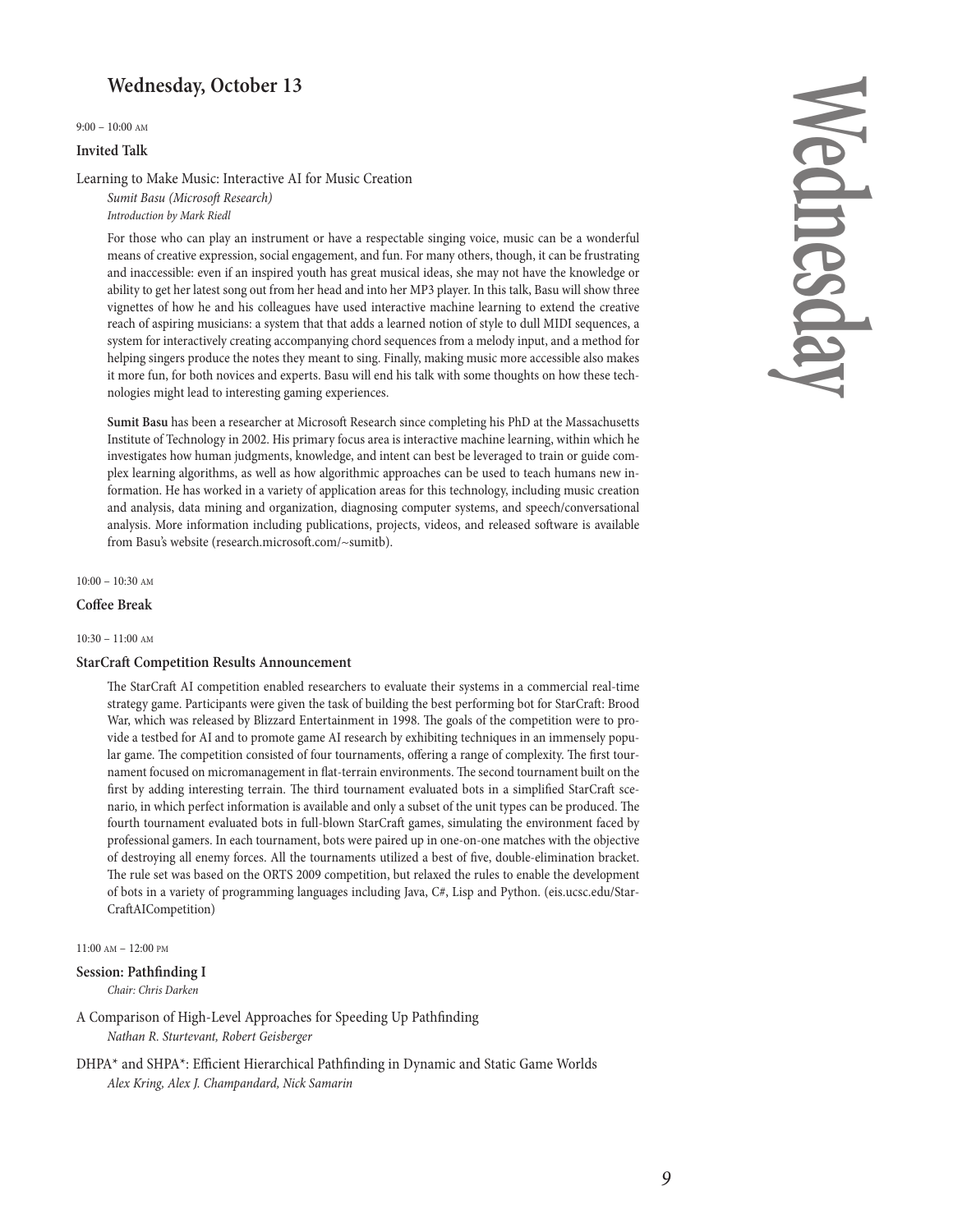### **Wednesday, October 13**

9:00 – 10:00 AM

#### **Invited Talk**

Learning to Make Music: Interactive AI for Music Creation

Sumit Basu (Microsoft Research) Introduction by Mark Riedl

For those who can play an instrument or have a respectable singing voice, music can be a wonderful means of creative expression, social engagement, and fun. For many others, though, it can be frustrating and inaccessible: even if an inspired youth has great musical ideas, she may not have the knowledge or ability to get her latest song out from her head and into her MP3 player. In this talk, Basu will show three vignettes of how he and his colleagues have used interactive machine learning to extend the creative reach of aspiring musicians: a system that that adds a learned notion of style to dull MIDI sequences, a system for interactively creating accompanying chord sequences from a melody input, and a method for helping singers produce the notes they meant to sing. Finally, making music more accessible also makes it more fun, for both novices and experts. Basu will end his talk with some thoughts on how these technologies might lead to interesting gaming experiences.

**Sumit Basu** has been a researcher at Microsoft Research since completing his PhD at the Massachusetts Institute of Technology in 2002. His primary focus area is interactive machinelearning, within which he investigates how human judgments, knowledge, and intent can best be leveraged to train or guide complex learning algorithms, as well as how algorithmic approaches can be used to teach humans new information. He has worked in a variety of application areas for this technology, including music creation and analysis, data mining and organization, diagnosing computer systems, and speech/conversational analysis. More information including publications, projects, videos, and released software is available from Basu's website (research.microsoft.com/~sumitb).

#### $10:00 - 10:30$  AM

#### **Coffee Break**

10:30 – 11:00 AM

#### **StarCra Competition Results Announcement**

The StarCraft AI competition enabled researchers to evaluate their systems in a commercial real-time strategy game. Participants were given the task of building the best performing bot for StarCraft: Brood War, which was released by Blizzard Entertainment in 1998. The goals of the competition were to provide a testbed for AI and to promote game AI research by exhibiting techniques in an immensely popular game. The competition consisted of four tournaments, offering a range of complexity. The first tournament focused on micromanagement in flat-terrain environments. The second tournament built on the first by adding interesting terrain. The third tournament evaluated bots in a simplified StarCraft scenario, in which perfect information is available and only a subset of the unit types can be produced. The fourth tournament evaluated bots in full-blown StarCraft games, simulating the environment faced by professional gamers. In each tournament, bots were paired up in one-on-one matches with the objective of destroying all enemy forces. All the tournaments utilized a best of five, double-elimination bracket. The rule set was based on the ORTS 2009 competition, but relaxed the rules to enable the development of bots in a variety of programming languages including Java, C#, Lisp and Python. (eis.ucsc.edu/Star-CraftAICompetition)

11:00 AM – 12:00 PM

#### **Session: Pathfinding I**

Chair: Chris Darken

A Comparison of High-Level Approaches for Speeding Up Pathfinding Nathan R. Sturtevant, Robert Geisberger

DHPA\* and SHPA\*: Efficient Hierarchical Pathfinding in Dynamic and Static Game Worlds Alex Kring, Alex J. Champandard, Nick Samarin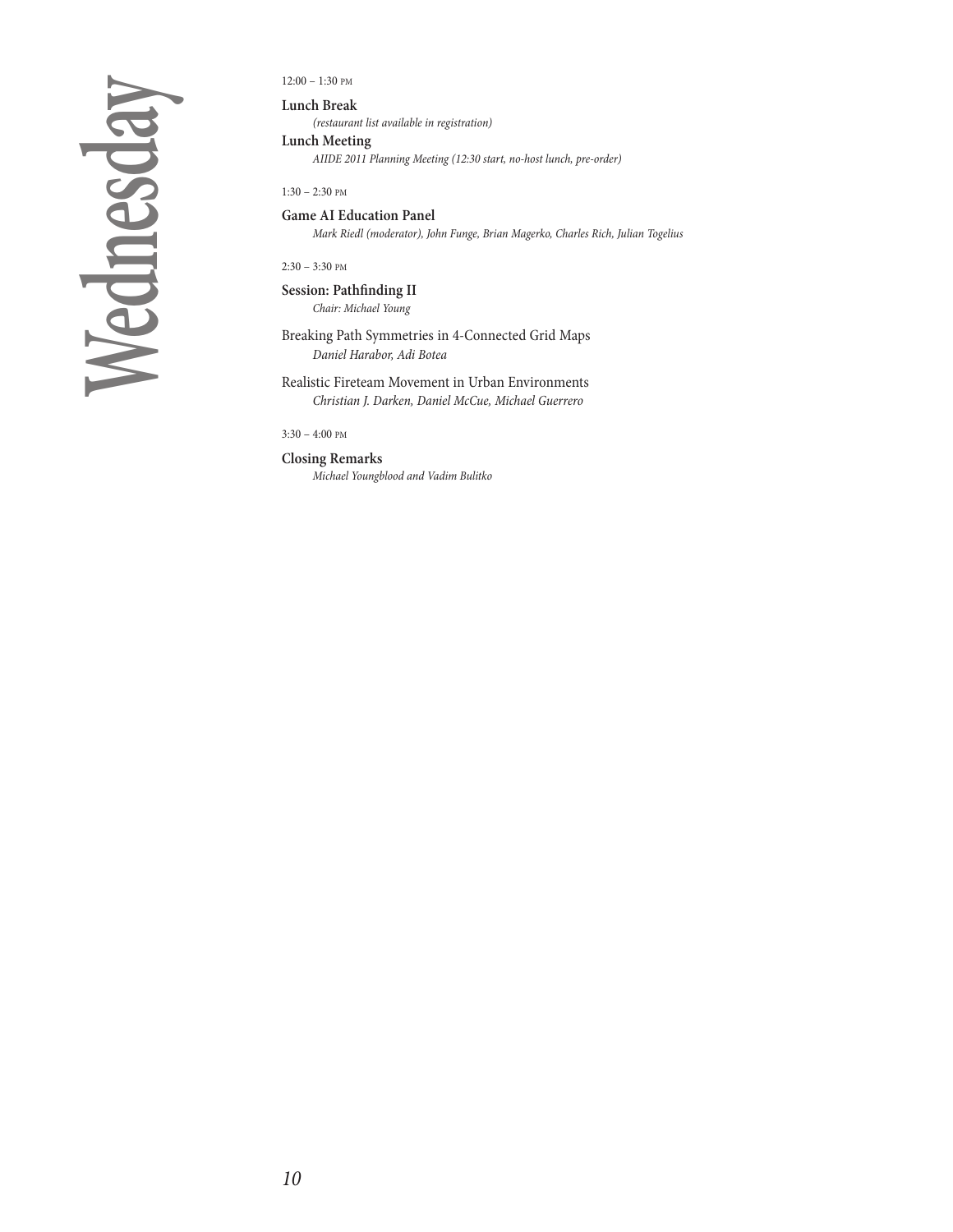**We d n e s d ay**

12:00 – 1:30 PM

**Lunch Break** (restaurant list available in registration)

**Lunch Meeting**

AIIDE 2011 Planning Meeting (12:30 start, no-host lunch, pre-order)

1:30 – 2:30 PM

**Game AI Education Panel** Mark Riedl (moderator), John Funge, Brian Magerko, Charles Rich, Julian Togelius

2:30 – 3:30 PM

**Session: Pathfinding II** Chair: Michael Young

Breaking Path Symmetries in 4-Connected Grid Maps Daniel Harabor, Adi Botea

Realistic Fireteam Movement in Urban Environments Christian J. Darken, Daniel McCue, Michael Guerrero

3:30 – 4:00 PM

**Closing Remarks**

Michael Youngblood and Vadim Bulitko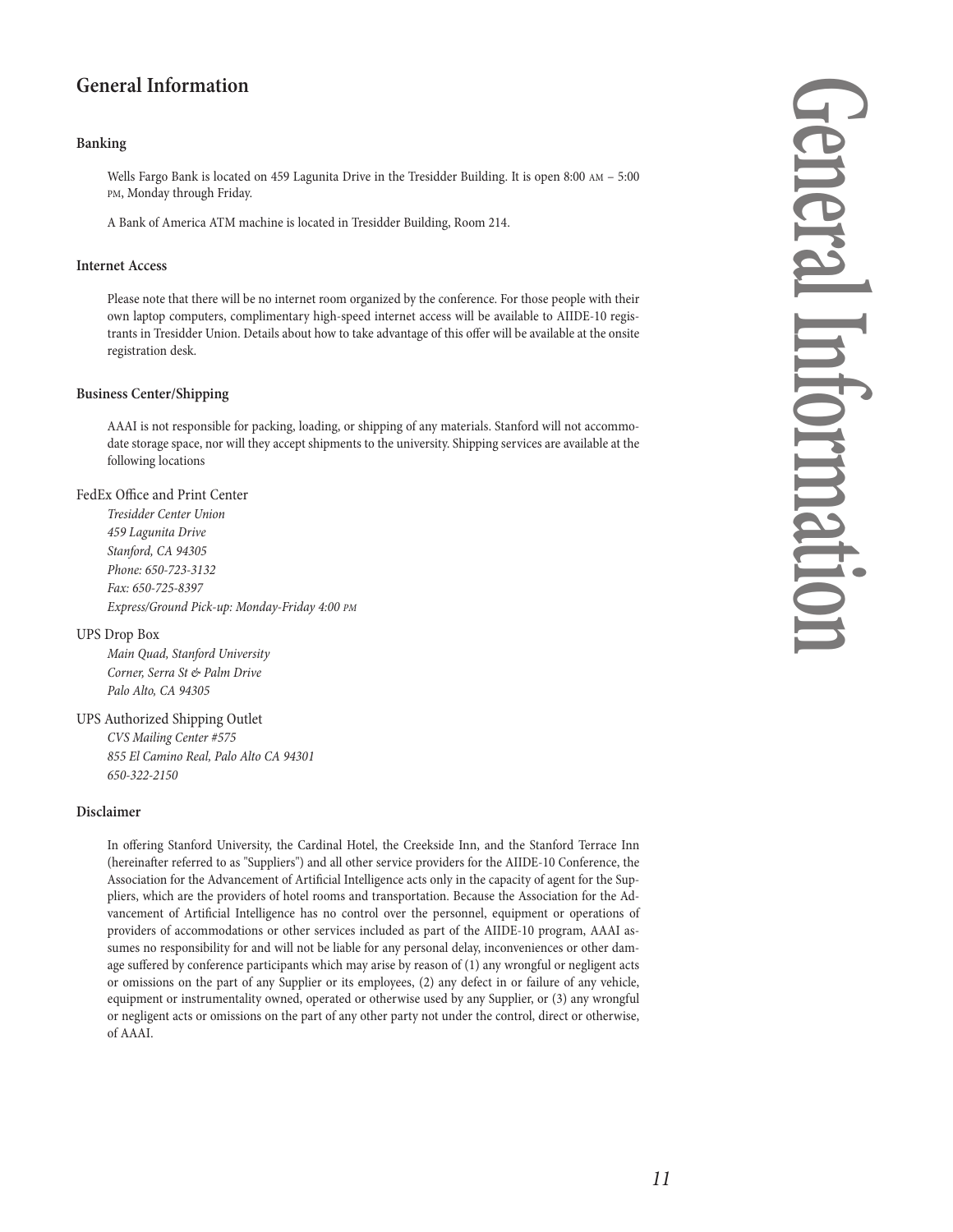## **General Information**

#### **Banking**

Wells Fargo Bank is located on 459 Lagunita Drive in the Tresidder Building. It is open 8:00 AM – 5:00 PM, Monday through Friday.

A Bank of America ATM machine is located in Tresidder Building, Room 214.

#### **Internet Access**

Please note that there will be no internet room organized by the conference. For those people with their own laptop computers, complimentary high-speed internet access will be available to AIIDE-10 registrants in Tresidder Union. Details about how to take advantage of this offer will be available at the onsite registration desk.

#### **Business Center/Shipping**

AAAI is not responsible for packing, loading, or shipping of any materials. Stanford will not accommodate storage space, nor will they accept shipments to the university. Shipping services are available at the following locations

#### FedEx Office and Print Center

Tresidder Center Union 459 Lagunita Drive Stanford, CA 94305 Phone: 650-723-3132 Fax: 650-725-8397 Express/Ground Pick-up: Monday-Friday 4:00 PM

#### UPS Drop Box

Main Quad, Stanford University Corner, Serra St & Palm Drive Palo Alto, CA 94305

#### UPS Authorized Shipping Outlet

CVS Mailing Center #575 855 El Camino Real, Palo Alto CA 94301 650-322-2150

#### **Disclaimer**

In offering Stanford University, the Cardinal Hotel, the Creekside Inn, and the Stanford Terrace Inn (hereinafter referred to as "Suppliers") and all other service providers for the AIIDE-10 Conference, the Association for the Advancement of Artificial Intelligence acts only in the capacity of agent for the Suppliers, which are the providers of hotel rooms and transportation. Because the Association for the Advancement of Artificial Intelligence has no control over the personnel, equipment or operations of providers of accommodations or other services included as part of the AIIDE-10 program, AAAI assumes no responsibility for and will not be liable for any personal delay, inconveniences or other damage suffered by conference participants which may arise by reason of (1) any wrongful or negligent acts or omissions on the part of any Supplier or its employees, (2) any defect in or failure of any vehicle, equipment or instrumentality owned, operated or otherwise used by any Supplier, or (3) any wrongful or negligent acts or omissions on the part of any other party not under the control, direct or otherwise, of AAAI.